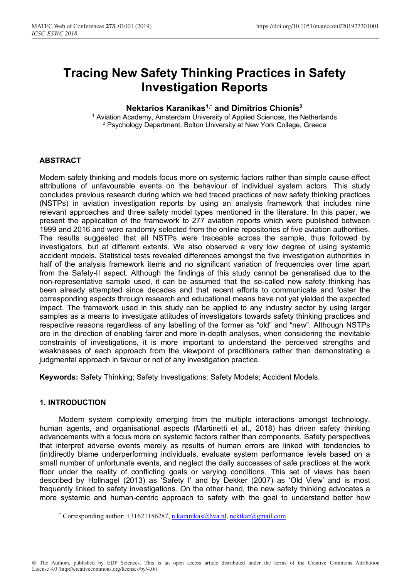# **Tracing New Safety Thinking Practices in Safety Investigation Reports**

## **Nektarios Karanikas1,\* and Dimitrios Chionis2**

<sup>1</sup> Aviation Academy, Amsterdam University of Applied Sciences, the Netherlands <sup>2</sup> Psychology Department, Bolton University at New York College, Greece

## **ABSTRACT**

Modern safety thinking and models focus more on systemic factors rather than simple cause-effect attributions of unfavourable events on the behaviour of individual system actors. This study concludes previous research during which we had traced practices of new safety thinking practices (NSTPs) in aviation investigation reports by using an analysis framework that includes nine relevant approaches and three safety model types mentioned in the literature. In this paper, we present the application of the framework to 277 aviation reports which were published between 1999 and 2016 and were randomly selected from the online repositories of five aviation authorities. The results suggested that all NSTPs were traceable across the sample, thus followed by investigators, but at different extents. We also observed a very low degree of using systemic accident models. Statistical tests revealed differences amongst the five investigation authorities in half of the analysis framework items and no significant variation of frequencies over time apart from the Safety-II aspect. Although the findings of this study cannot be generalised due to the non-representative sample used, it can be assumed that the so-called new safety thinking has been already attempted since decades and that recent efforts to communicate and foster the corresponding aspects through research and educational means have not yet yielded the expected impact. The framework used in this study can be applied to any industry sector by using larger samples as a means to investigate attitudes of investigators towards safety thinking practices and respective reasons regardless of any labelling of the former as "old" and "new". Although NSTPs are in the direction of enabling fairer and more in-depth analyses, when considering the inevitable constraints of investigations, it is more important to understand the perceived strengths and weaknesses of each approach from the viewpoint of practitioners rather than demonstrating a judgmental approach in favour or not of any investigation practice.

**Keywords:** Safety Thinking; Safety Investigations; Safety Models; Accident Models.

#### **1. INTRODUCTION**

 $\overline{a}$ 

Modern system complexity emerging from the multiple interactions amongst technology, human agents, and organisational aspects (Martinetti et al., 2018) has driven safety thinking advancements with a focus more on systemic factors rather than components. Safety perspectives that interpret adverse events merely as results of human errors are linked with tendencies to (in)directly blame underperforming individuals, evaluate system performance levels based on a small number of unfortunate events, and neglect the daily successes of safe practices at the work floor under the reality of conflicting goals or varying conditions. This set of views has been described by Hollnagel (2013) as 'Safety I' and by Dekker (2007) as 'Old View' and is most frequently linked to safety investigations. On the other hand, the new safety thinking advocates a more systemic and human-centric approach to safety with the goal to understand better how

<sup>\*</sup> Corresponding author: +31621156287, n.karanikas@hva.nl, nektkar@gmail.com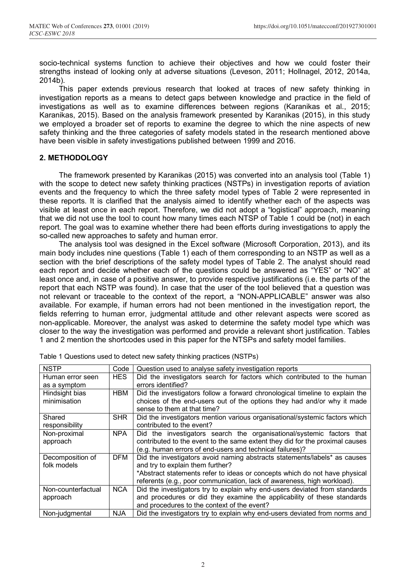socio-technical systems function to achieve their objectives and how we could foster their strengths instead of looking only at adverse situations (Leveson, 2011; Hollnagel, 2012, 2014a, 2014b).

This paper extends previous research that looked at traces of new safety thinking in investigation reports as a means to detect gaps between knowledge and practice in the field of investigations as well as to examine differences between regions (Karanikas et al., 2015; Karanikas, 2015). Based on the analysis framework presented by Karanikas (2015), in this study we employed a broader set of reports to examine the degree to which the nine aspects of new safety thinking and the three categories of safety models stated in the research mentioned above have been visible in safety investigations published between 1999 and 2016.

#### **2. METHODOLOGY**

The framework presented by Karanikas (2015) was converted into an analysis tool (Table 1) with the scope to detect new safety thinking practices (NSTPs) in investigation reports of aviation events and the frequency to which the three safety model types of Table 2 were represented in these reports. It is clarified that the analysis aimed to identify whether each of the aspects was visible at least once in each report. Therefore, we did not adopt a "logistical" approach, meaning that we did not use the tool to count how many times each NTSP of Table 1 could be (not) in each report. The goal was to examine whether there had been efforts during investigations to apply the so-called new approaches to safety and human error.

The analysis tool was designed in the Excel software (Microsoft Corporation, 2013), and its main body includes nine questions (Table 1) each of them corresponding to an NSTP as well as a section with the brief descriptions of the safety model types of Table 2. The analyst should read each report and decide whether each of the questions could be answered as "YES" or "NO" at least once and, in case of a positive answer, to provide respective justifications (i.e. the parts of the report that each NSTP was found). In case that the user of the tool believed that a question was not relevant or traceable to the context of the report, a "NON-APPLICABLE" answer was also available. For example, if human errors had not been mentioned in the investigation report, the fields referring to human error, judgmental attitude and other relevant aspects were scored as non-applicable. Moreover, the analyst was asked to determine the safety model type which was closer to the way the investigation was performed and provide a relevant short justification. Tables 1 and 2 mention the shortcodes used in this paper for the NTSPs and safety model families.

| <b>NSTP</b>        | Code       | Question used to analyse safety investigation reports                        |
|--------------------|------------|------------------------------------------------------------------------------|
| Human error seen   | HES.       | Did the investigators search for factors which contributed to the human      |
| as a symptom       |            | errors identified?                                                           |
| Hindsight bias     | HBM        | Did the investigators follow a forward chronological timeline to explain the |
| minimisation       |            | choices of the end-users out of the options they had and/or why it made      |
|                    |            | sense to them at that time?                                                  |
| Shared             | <b>SHR</b> | Did the investigators mention various organisational/systemic factors which  |
| responsibility     |            | contributed to the event?                                                    |
| Non-proximal       | NPA        | Did the investigators search the organisational/systemic factors that        |
| approach           |            | contributed to the event to the same extent they did for the proximal causes |
|                    |            | (e.g. human errors of end-users and technical failures)?                     |
| Decomposition of   | DFM        | Did the investigators avoid naming abstracts statements/labels* as causes    |
| folk models        |            | and try to explain them further?                                             |
|                    |            | *Abstract statements refer to ideas or concepts which do not have physical   |
|                    |            | referents (e.g., poor communication, lack of awareness, high workload).      |
| Non-counterfactual | <b>NCA</b> | Did the investigators try to explain why end-users deviated from standards   |
| approach           |            | and procedures or did they examine the applicability of these standards      |
|                    |            | and procedures to the context of the event?                                  |
| Non-judgmental     | <b>NJA</b> | Did the investigators try to explain why end-users deviated from norms and   |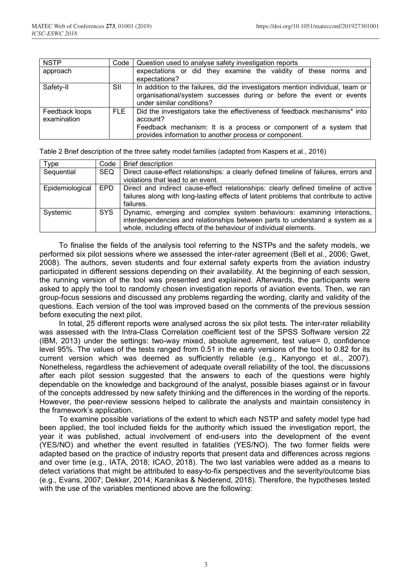| <b>NSTP</b>                   | Code       | Question used to analyse safety investigation reports                                                                                                                                                               |  |  |  |  |  |  |  |  |
|-------------------------------|------------|---------------------------------------------------------------------------------------------------------------------------------------------------------------------------------------------------------------------|--|--|--|--|--|--|--|--|
| approach                      |            | expectations or did they examine the validity of these norms and<br>expectations?                                                                                                                                   |  |  |  |  |  |  |  |  |
| Safety-II                     | SII        | In addition to the failures, did the investigators mention individual, team or<br>organisational/system successes during or before the event or events<br>under similar conditions?                                 |  |  |  |  |  |  |  |  |
| Feedback loops<br>examination | <b>FLE</b> | Did the investigators take the effectiveness of feedback mechanisms* into<br>account?<br>Feedback mechanism: It is a process or component of a system that<br>provides information to another process or component. |  |  |  |  |  |  |  |  |

| Table 2 Brief description of the three safety model families (adapted from Kaspers et al., 2016) |  |  |  |  |
|--------------------------------------------------------------------------------------------------|--|--|--|--|
|--------------------------------------------------------------------------------------------------|--|--|--|--|

| Type            | Code       | <b>Brief description</b>                                                              |
|-----------------|------------|---------------------------------------------------------------------------------------|
| Sequential      | <b>SEQ</b> | Direct cause-effect relationships: a clearly defined timeline of failures, errors and |
|                 |            | violations that lead to an event.                                                     |
| Epidemiological | <b>EPD</b> | Direct and indirect cause-effect relationships: clearly defined timeline of active    |
|                 |            | failures along with long-lasting effects of latent problems that contribute to active |
|                 |            | failures.                                                                             |
| Systemic        | <b>SYS</b> | Dynamic, emerging and complex system behaviours: examining interactions,              |
|                 |            | interdependencies and relationships between parts to understand a system as a         |
|                 |            | whole, including effects of the behaviour of individual elements.                     |

To finalise the fields of the analysis tool referring to the NSTPs and the safety models, we performed six pilot sessions where we assessed the inter-rater agreement (Bell et al., 2006; Gwet, 2008). The authors, seven students and four external safety experts from the aviation industry participated in different sessions depending on their availability. At the beginning of each session, the running version of the tool was presented and explained. Afterwards, the participants were asked to apply the tool to randomly chosen investigation reports of aviation events. Then, we ran group-focus sessions and discussed any problems regarding the wording, clarity and validity of the questions. Each version of the tool was improved based on the comments of the previous session before executing the next pilot.

In total, 25 different reports were analysed across the six pilot tests. The inter-rater reliability was assessed with the Intra-Class Correlation coefficient test of the SPSS Software version 22 (IBM, 2013) under the settings: two-way mixed, absolute agreement, test value= 0, confidence level 95%. The values of the tests ranged from 0.51 in the early versions of the tool to 0.82 for its current version which was deemed as sufficiently reliable (e.g., Kanyongo et al., 2007). Nonetheless, regardless the achievement of adequate overall reliability of the tool, the discussions after each pilot session suggested that the answers to each of the questions were highly dependable on the knowledge and background of the analyst, possible biases against or in favour of the concepts addressed by new safety thinking and the differences in the wording of the reports. However, the peer-review sessions helped to calibrate the analysts and maintain consistency in the framework's application.

To examine possible variations of the extent to which each NSTP and safety model type had been applied, the tool included fields for the authority which issued the investigation report, the year it was published, actual involvement of end-users into the development of the event (YES/NO) and whether the event resulted in fatalities (YES/NO). The two former fields were adapted based on the practice of industry reports that present data and differences across regions and over time (e.g., IATA, 2018; ICAO, 2018). The two last variables were added as a means to detect variations that might be attributed to easy-to-fix perspectives and the severity/outcome bias (e.g., Evans, 2007; Dekker, 2014; Karanikas & Nederend, 2018). Therefore, the hypotheses tested with the use of the variables mentioned above are the following: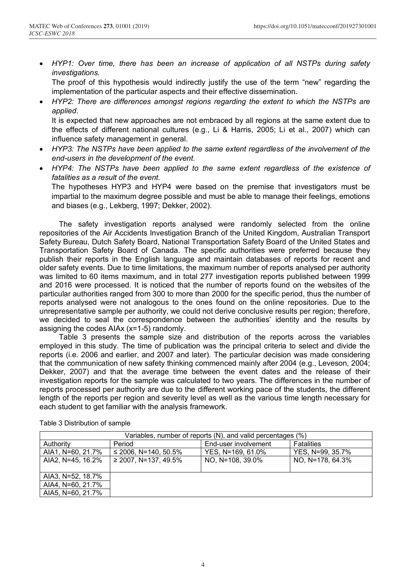• *HYP1: Over time, there has been an increase of application of all NSTPs during safety investigations.*

The proof of this hypothesis would indirectly justify the use of the term "new" regarding the implementation of the particular aspects and their effective dissemination.

• *HYP2: There are differences amongst regions regarding the extent to which the NSTPs are applied.*

It is expected that new approaches are not embraced by all regions at the same extent due to the effects of different national cultures (e.g., Li & Harris, 2005; Li et al., 2007) which can influence safety management in general.

- *HYP3: The NSTPs have been applied to the same extent regardless of the involvement of the end-users in the development of the event.*
- *HYP4: The NSTPs have been applied to the same extent regardless of the existence of fatalities as a result of the event.*

The hypotheses HYP3 and HYP4 were based on the premise that investigators must be impartial to the maximum degree possible and must be able to manage their feelings, emotions and biases (e.g., Lekberg, 1997; Dekker, 2002).

The safety investigation reports analysed were randomly selected from the online repositories of the Air Accidents Investigation Branch of the United Kingdom, Australian Transport Safety Bureau, Dutch Safety Board, National Transportation Safety Board of the United States and Transportation Safety Board of Canada. The specific authorities were preferred because they publish their reports in the English language and maintain databases of reports for recent and older safety events. Due to time limitations, the maximum number of reports analysed per authority was limited to 60 items maximum, and in total 277 investigation reports published between 1999 and 2016 were processed. It is noticed that the number of reports found on the websites of the particular authorities ranged from 300 to more than 2000 for the specific period, thus the number of reports analysed were not analogous to the ones found on the online repositories. Due to the unrepresentative sample per authority, we could not derive conclusive results per region; therefore, we decided to seal the correspondence between the authorities' identity and the results by assigning the codes AIAx (x=1-5) randomly.

Table 3 presents the sample size and distribution of the reports across the variables employed in this study. The time of publication was the principal criteria to select and divide the reports (i.e. 2006 and earlier, and 2007 and later). The particular decision was made considering that the communication of new safety thinking commenced mainly after 2004 (e.g., Leveson, 2004; Dekker, 2007) and that the average time between the event dates and the release of their investigation reports for the sample was calculated to two years. The differences in the number of reports processed per authority are due to the different working pace of the students, the different length of the reports per region and severity level as well as the various time length necessary for each student to get familiar with the analysis framework.

| Variables, number of reports (N), and valid percentages (%) |                           |                      |                   |  |  |  |  |  |
|-------------------------------------------------------------|---------------------------|----------------------|-------------------|--|--|--|--|--|
| Authority                                                   | Period                    | End-user involvement | <b>Fatalities</b> |  |  |  |  |  |
| AIA1, N=60, 21.7%                                           | ≤ 2006, N=140, 50.5%      | YES, N=169, 61.0%    | YES, N=99, 35.7%  |  |  |  |  |  |
| AIA2, N=45, 16.2%                                           | $\geq$ 2007, N=137, 49.5% | NO, N=108, 39.0%     | NO, N=178, 64.3%  |  |  |  |  |  |
|                                                             |                           |                      |                   |  |  |  |  |  |
| AIA3, N=52, 18.7%                                           |                           |                      |                   |  |  |  |  |  |
| AIA4, N=60, 21.7%                                           |                           |                      |                   |  |  |  |  |  |
| AIA5, N=60, 21.7%                                           |                           |                      |                   |  |  |  |  |  |

Table 3 Distribution of sample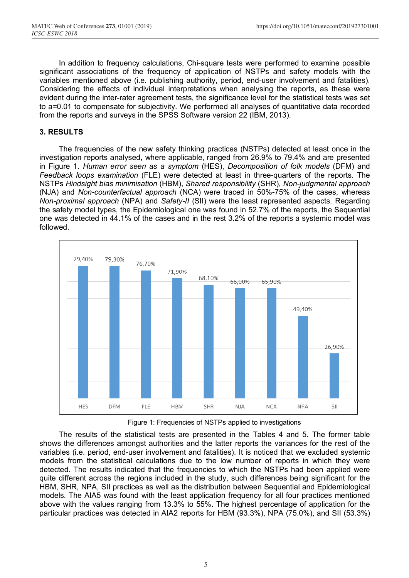In addition to frequency calculations, Chi-square tests were performed to examine possible significant associations of the frequency of application of NSTPs and safety models with the variables mentioned above (i.e. publishing authority, period, end-user involvement and fatalities). Considering the effects of individual interpretations when analysing the reports, as these were evident during the inter-rater agreement tests, the significance level for the statistical tests was set to a=0.01 to compensate for subjectivity. We performed all analyses of quantitative data recorded from the reports and surveys in the SPSS Software version 22 (IBM, 2013).

### **3. RESULTS**

The frequencies of the new safety thinking practices (NSTPs) detected at least once in the investigation reports analysed, where applicable, ranged from 26.9% to 79.4% and are presented in Figure 1. *Human error seen as a symptom* (HES), *Decomposition of folk models* (DFM) and *Feedback loops examination* (FLE) were detected at least in three-quarters of the reports. The NSTPs *Hindsight bias minimisation* (HBM), *Shared responsibility* (SHR), *Non-judgmental approach* (NJA) and *Non-counterfactual approach* (NCA) were traced in 50%-75% of the cases, whereas *Non-proximal approach* (NPA) and *Safety-II* (SII) were the least represented aspects. Regarding the safety model types, the Epidemiological one was found in 52.7% of the reports, the Sequential one was detected in 44.1% of the cases and in the rest 3.2% of the reports a systemic model was followed.



Figure 1: Frequencies of NSTPs applied to investigations

The results of the statistical tests are presented in the Tables 4 and 5. The former table shows the differences amongst authorities and the latter reports the variances for the rest of the variables (i.e. period, end-user involvement and fatalities). It is noticed that we excluded systemic models from the statistical calculations due to the low number of reports in which they were detected. The results indicated that the frequencies to which the NSTPs had been applied were quite different across the regions included in the study, such differences being significant for the HBM, SHR, NPA, SII practices as well as the distribution between Sequential and Epidemiological models. The AIA5 was found with the least application frequency for all four practices mentioned above with the values ranging from 13.3% to 55%. The highest percentage of application for the particular practices was detected in AIA2 reports for HBM (93.3%), NPA (75.0%), and SII (53.3%)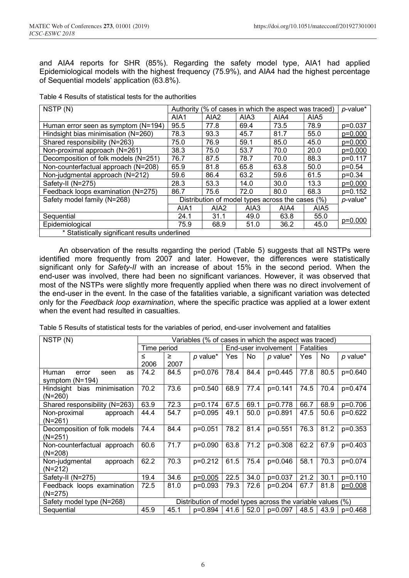and AIA4 reports for SHR (85%). Regarding the safety model type, AIA1 had applied Epidemiological models with the highest frequency (75.9%), and AIA4 had the highest percentage of Sequential models' application (63.8%).

Table 4 Results of statistical tests for the authorities

| NSTP(N)                                        | Authority | (% of cases in which the aspect was traced)<br>$p$ -value* |      |      |                  |           |  |
|------------------------------------------------|-----------|------------------------------------------------------------|------|------|------------------|-----------|--|
|                                                | AIA1      | AIA <sub>2</sub>                                           | AIA3 | AIA4 | AIA <sub>5</sub> |           |  |
| Human error seen as symptom (N=194)            | 95.5      | 77.8                                                       | 69.4 | 73.5 | 78.9             | $p=0.037$ |  |
| Hindsight bias minimisation (N=260)            | 78.3      | 93.3                                                       | 45.7 | 81.7 | 55.0             | $p=0.000$ |  |
| Shared responsibility (N=263)                  | 75.0      | 76.9                                                       | 59.1 | 85.0 | 45.0             | $p=0.000$ |  |
| Non-proximal approach (N=261)                  | 38.3      | 75.0                                                       | 53.7 | 70.0 | 20.0             | $p=0.000$ |  |
| Decomposition of folk models (N=251)           | 76.7      | 87.5                                                       | 78.7 | 70.0 | 88.3             | $p=0.117$ |  |
| Non-counterfactual approach (N=208)            | 65.9      | 81.8                                                       | 65.8 | 63.8 | 50.0             | $p=0.54$  |  |
| Non-judgmental approach (N=212)                | 59.6      | 86.4                                                       | 63.2 | 59.6 | 61.5             | $p=0.34$  |  |
| Safety-II (N=275)                              | 28.3      | 53.3                                                       | 14.0 | 30.0 | 13.3             | $p=0.000$ |  |
| Feedback loops examination (N=275)             | 86.7      | 75.6                                                       | 72.0 | 80.0 | 68.3             | $p=0.152$ |  |
| Safety model family (N=268)                    |           | Distribution of model types across the cases (%)           |      |      |                  |           |  |
|                                                | AIA1      | AIA <sub>2</sub>                                           | AIA3 | AIA4 | AIA <sub>5</sub> |           |  |
| Sequential                                     | 24.1      | 31.1                                                       | 49.0 | 63.8 | 55.0             |           |  |
| Epidemiological                                | 75.9      | 68.9                                                       | 51.0 | 36.2 | 45.0             | $p=0.000$ |  |
| * Statistically significant results underlined |           |                                                            |      |      |                  |           |  |

An observation of the results regarding the period (Table 5) suggests that all NSTPs were identified more frequently from 2007 and later. However, the differences were statistically significant only for *Safety-II* with an increase of about 15% in the second period. When the end-user was involved, there had been no significant variances. However, it was observed that most of the NSTPs were slightly more frequently applied when there was no direct involvement of the end-user in the event. In the case of the fatalities variable, a significant variation was detected only for the *Feedback loop examination*, where the specific practice was applied at a lower extent when the event had resulted in casualties.

Table 5 Results of statistical tests for the variables of period, end-user involvement and fatalities

| NSTP(N)                                         | Variables (% of cases in which the aspect was traced) |                                                            |           |                      |      |            |                   |      |            |
|-------------------------------------------------|-------------------------------------------------------|------------------------------------------------------------|-----------|----------------------|------|------------|-------------------|------|------------|
|                                                 | Time period                                           |                                                            |           | End-user involvement |      |            | <b>Fatalities</b> |      |            |
|                                                 | $\leq$                                                | ≥                                                          | p value*  | Yes                  | No   | $p$ value* | Yes               | No.  | $p$ value* |
|                                                 | 2006                                                  | 2007                                                       |           |                      |      |            |                   |      |            |
| Human<br>as<br>error<br>seen<br>symptom (N=194) | 74.2                                                  | 84.5                                                       | p=0.076   | 78.4                 | 84.4 | $p=0.445$  | 77.8              | 80.5 | p=0.640    |
| minimisation<br>Hindsight<br>bias<br>$(N=260)$  | 70.2                                                  | 73.6                                                       | p=0.540   | 68.9                 | 77.4 | $p=0.141$  | 74.5              | 70.4 | p=0.474    |
| Shared responsibility (N=263)                   | 63.9                                                  | 72.3                                                       | p=0.174   | 67.5                 | 69.1 | p=0.778    | 66.7              | 68.9 | p=0.706    |
| Non-proximal<br>approach<br>(N=261)             | 44.4                                                  | 54.7                                                       | p=0.095   | 49.1                 | 50.0 | p=0.891    | 47.5              | 50.6 | p=0.622    |
| Decomposition of folk models<br>$(N=251)$       | 74.4                                                  | 84.4                                                       | $p=0.051$ | 78.2                 | 81.4 | $p=0.551$  | 76.3              | 81.2 | $p=0.353$  |
| Non-counterfactual approach<br>$(N=208)$        | 60.6                                                  | 71.7                                                       | p=0.090   | 63.8                 | 71.2 | $p=0.308$  | 62.2              | 67.9 | $p=0.403$  |
| Non-judgmental<br>approach<br>$(N=212)$         | 62.2                                                  | 70.3                                                       | $p=0.212$ | 61.5                 | 75.4 | p=0.046    | 58.1              | 70.3 | p=0.074    |
| Safety-II (N=275)                               | 19.4                                                  | 34.6                                                       | $p=0.005$ | 22.5                 | 34.0 | $p=0.037$  | 21.2              | 30.1 | $p=0.110$  |
| Feedback loops examination                      | 72.5                                                  | 81.0                                                       | p=0.093   | 79.3                 | 72.6 | $p=0.204$  | 67.7              | 81.8 | $p=0.008$  |
| $(N=275)$                                       |                                                       |                                                            |           |                      |      |            |                   |      |            |
| Safety model type (N=268)                       |                                                       | Distribution of model types across the variable values (%) |           |                      |      |            |                   |      |            |
| Sequential                                      | 45.9                                                  | 45.1                                                       | p=0.894   | 41.6                 | 52.0 | $p=0.097$  | 48.5              | 43.9 | p=0.468    |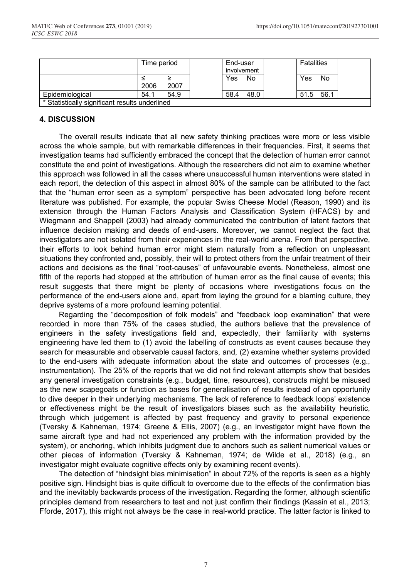|                                                | Time period |      |  | End-user<br>involvement |      | <b>Fatalities</b> |      |      |  |
|------------------------------------------------|-------------|------|--|-------------------------|------|-------------------|------|------|--|
|                                                |             |      |  | Yes                     | No   |                   | Yes  | No   |  |
|                                                | 2006        | 2007 |  |                         |      |                   |      |      |  |
| Epidemiological                                | 54.1        | 54.9 |  | 58.4                    | 48.0 |                   | 51.5 | 56.7 |  |
| * Statistically significant results underlined |             |      |  |                         |      |                   |      |      |  |

#### **4. DISCUSSION**

The overall results indicate that all new safety thinking practices were more or less visible across the whole sample, but with remarkable differences in their frequencies. First, it seems that investigation teams had sufficiently embraced the concept that the detection of human error cannot constitute the end point of investigations. Although the researchers did not aim to examine whether this approach was followed in all the cases where unsuccessful human interventions were stated in each report, the detection of this aspect in almost 80% of the sample can be attributed to the fact that the "human error seen as a symptom" perspective has been advocated long before recent literature was published. For example, the popular Swiss Cheese Model (Reason, 1990) and its extension through the Human Factors Analysis and Classification System (HFACS) by and Wiegmann and Shappell (2003) had already communicated the contribution of latent factors that influence decision making and deeds of end-users. Moreover, we cannot neglect the fact that investigators are not isolated from their experiences in the real-world arena. From that perspective, their efforts to look behind human error might stem naturally from a reflection on unpleasant situations they confronted and, possibly, their will to protect others from the unfair treatment of their actions and decisions as the final "root-causes" of unfavourable events. Nonetheless, almost one fifth of the reports had stopped at the attribution of human error as the final cause of events; this result suggests that there might be plenty of occasions where investigations focus on the performance of the end-users alone and, apart from laying the ground for a blaming culture, they deprive systems of a more profound learning potential.

Regarding the "decomposition of folk models" and "feedback loop examination" that were recorded in more than 75% of the cases studied, the authors believe that the prevalence of engineers in the safety investigations field and, expectedly, their familiarity with systems engineering have led them to (1) avoid the labelling of constructs as event causes because they search for measurable and observable causal factors, and, (2) examine whether systems provided to the end-users with adequate information about the state and outcomes of processes (e.g., instrumentation). The 25% of the reports that we did not find relevant attempts show that besides any general investigation constraints (e.g., budget, time, resources), constructs might be misused as the new scapegoats or function as bases for generalisation of results instead of an opportunity to dive deeper in their underlying mechanisms. The lack of reference to feedback loops' existence or effectiveness might be the result of investigators biases such as the availability heuristic, through which judgement is affected by past frequency and gravity to personal experience (Tversky & Kahneman, 1974; Greene & Ellis, 2007) (e.g., an investigator might have flown the same aircraft type and had not experienced any problem with the information provided by the system), or anchoring, which inhibits judgment due to anchors such as salient numerical values or other pieces of information (Tversky & Kahneman, 1974; de Wilde et al., 2018) (e.g., an investigator might evaluate cognitive effects only by examining recent events).

The detection of "hindsight bias minimisation" in about 72% of the reports is seen as a highly positive sign. Hindsight bias is quite difficult to overcome due to the effects of the confirmation bias and the inevitably backwards process of the investigation. Regarding the former, although scientific principles demand from researchers to test and not just confirm their findings (Kassin et al., 2013; Fforde, 2017), this might not always be the case in real-world practice. The latter factor is linked to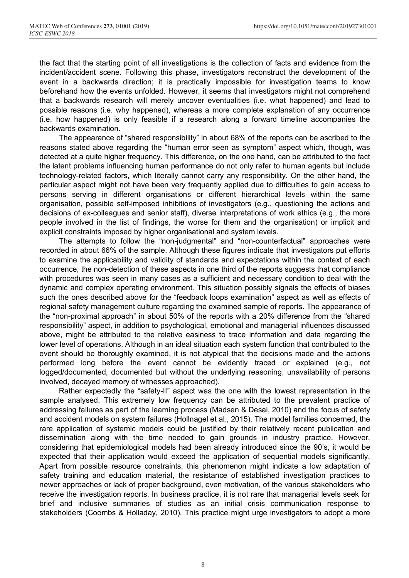the fact that the starting point of all investigations is the collection of facts and evidence from the incident/accident scene. Following this phase, investigators reconstruct the development of the event in a backwards direction; it is practically impossible for investigation teams to know beforehand how the events unfolded. However, it seems that investigators might not comprehend that a backwards research will merely uncover eventualities (i.e. what happened) and lead to possible reasons (i.e. why happened), whereas a more complete explanation of any occurrence (i.e. how happened) is only feasible if a research along a forward timeline accompanies the backwards examination.

The appearance of "shared responsibility" in about 68% of the reports can be ascribed to the reasons stated above regarding the "human error seen as symptom" aspect which, though, was detected at a quite higher frequency. This difference, on the one hand, can be attributed to the fact the latent problems influencing human performance do not only refer to human agents but include technology-related factors, which literally cannot carry any responsibility. On the other hand, the particular aspect might not have been very frequently applied due to difficulties to gain access to persons serving in different organisations or different hierarchical levels within the same organisation, possible self-imposed inhibitions of investigators (e.g., questioning the actions and decisions of ex-colleagues and senior staff), diverse interpretations of work ethics (e.g., the more people involved in the list of findings, the worse for them and the organisation) or implicit and explicit constraints imposed by higher organisational and system levels.

The attempts to follow the "non-judgmental" and "non-counterfactual" approaches were recorded in about 66% of the sample. Although these figures indicate that investigators put efforts to examine the applicability and validity of standards and expectations within the context of each occurrence, the non-detection of these aspects in one third of the reports suggests that compliance with procedures was seen in many cases as a sufficient and necessary condition to deal with the dynamic and complex operating environment. This situation possibly signals the effects of biases such the ones described above for the "feedback loops examination" aspect as well as effects of regional safety management culture regarding the examined sample of reports. The appearance of the "non-proximal approach" in about 50% of the reports with a 20% difference from the "shared responsibility" aspect, in addition to psychological, emotional and managerial influences discussed above, might be attributed to the relative easiness to trace information and data regarding the lower level of operations. Although in an ideal situation each system function that contributed to the event should be thoroughly examined, it is not atypical that the decisions made and the actions performed long before the event cannot be evidently traced or explained (e.g., not logged/documented, documented but without the underlying reasoning, unavailability of persons involved, decayed memory of witnesses approached).

Rather expectedly the "safety-II" aspect was the one with the lowest representation in the sample analysed. This extremely low frequency can be attributed to the prevalent practice of addressing failures as part of the learning process (Madsen & Desai, 2010) and the focus of safety and accident models on system failures (Hollnagel et al., 2015). The model families concerned, the rare application of systemic models could be justified by their relatively recent publication and dissemination along with the time needed to gain grounds in industry practice. However, considering that epidemiological models had been already introduced since the 90's, it would be expected that their application would exceed the application of sequential models significantly. Apart from possible resource constraints, this phenomenon might indicate a low adaptation of safety training and education material, the resistance of established investigation practices to newer approaches or lack of proper background, even motivation, of the various stakeholders who receive the investigation reports. In business practice, it is not rare that managerial levels seek for brief and inclusive summaries of studies as an initial crisis communication response to stakeholders (Coombs & Holladay, 2010). This practice might urge investigators to adopt a more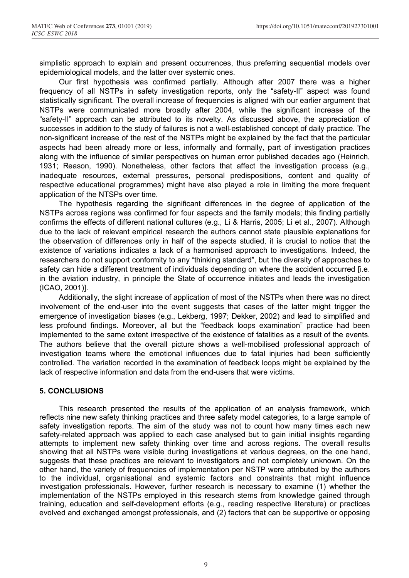simplistic approach to explain and present occurrences, thus preferring sequential models over epidemiological models, and the latter over systemic ones.

Our first hypothesis was confirmed partially. Although after 2007 there was a higher frequency of all NSTPs in safety investigation reports, only the "safety-II" aspect was found statistically significant. The overall increase of frequencies is aligned with our earlier argument that NSTPs were communicated more broadly after 2004, while the significant increase of the "safety-II" approach can be attributed to its novelty. As discussed above, the appreciation of successes in addition to the study of failures is not a well-established concept of daily practice. The non-significant increase of the rest of the NSTPs might be explained by the fact that the particular aspects had been already more or less, informally and formally, part of investigation practices along with the influence of similar perspectives on human error published decades ago (Heinrich, 1931; Reason, 1990). Nonetheless, other factors that affect the investigation process (e.g., inadequate resources, external pressures, personal predispositions, content and quality of respective educational programmes) might have also played a role in limiting the more frequent application of the NTSPs over time.

The hypothesis regarding the significant differences in the degree of application of the NSTPs across regions was confirmed for four aspects and the family models; this finding partially confirms the effects of different national cultures (e.g., Li & Harris, 2005; Li et al., 2007). Although due to the lack of relevant empirical research the authors cannot state plausible explanations for the observation of differences only in half of the aspects studied, it is crucial to notice that the existence of variations indicates a lack of a harmonised approach to investigations. Indeed, the researchers do not support conformity to any "thinking standard", but the diversity of approaches to safety can hide a different treatment of individuals depending on where the accident occurred [i.e. in the aviation industry, in principle the State of occurrence initiates and leads the investigation (ICAO, 2001)].

Additionally, the slight increase of application of most of the NSTPs when there was no direct involvement of the end-user into the event suggests that cases of the latter might trigger the emergence of investigation biases (e.g., Lekberg, 1997; Dekker, 2002) and lead to simplified and less profound findings. Moreover, all but the "feedback loops examination" practice had been implemented to the same extent irrespective of the existence of fatalities as a result of the events. The authors believe that the overall picture shows a well-mobilised professional approach of investigation teams where the emotional influences due to fatal injuries had been sufficiently controlled. The variation recorded in the examination of feedback loops might be explained by the lack of respective information and data from the end-users that were victims.

#### **5. CONCLUSIONS**

This research presented the results of the application of an analysis framework, which reflects nine new safety thinking practices and three safety model categories, to a large sample of safety investigation reports. The aim of the study was not to count how many times each new safety-related approach was applied to each case analysed but to gain initial insights regarding attempts to implement new safety thinking over time and across regions. The overall results showing that all NSTPs were visible during investigations at various degrees, on the one hand, suggests that these practices are relevant to investigators and not completely unknown. On the other hand, the variety of frequencies of implementation per NSTP were attributed by the authors to the individual, organisational and systemic factors and constraints that might influence investigation professionals. However, further research is necessary to examine (1) whether the implementation of the NSTPs employed in this research stems from knowledge gained through training, education and self-development efforts (e.g., reading respective literature) or practices evolved and exchanged amongst professionals, and (2) factors that can be supportive or opposing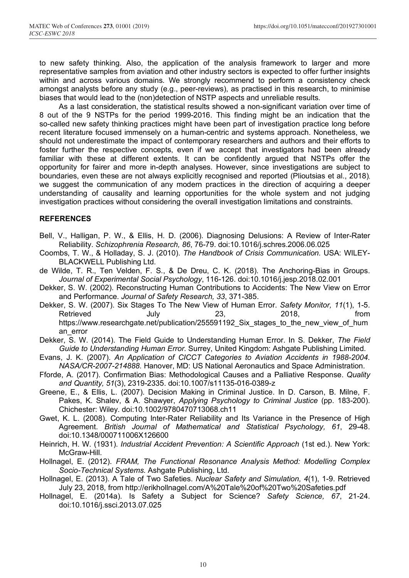to new safety thinking. Also, the application of the analysis framework to larger and more representative samples from aviation and other industry sectors is expected to offer further insights within and across various domains. We strongly recommend to perform a consistency check amongst analysts before any study (e.g., peer-reviews), as practised in this research, to minimise biases that would lead to the (non)detection of NSTP aspects and unreliable results.

As a last consideration, the statistical results showed a non-significant variation over time of 8 out of the 9 NSTPs for the period 1999-2016. This finding might be an indication that the so-called new safety thinking practices might have been part of investigation practice long before recent literature focused immensely on a human-centric and systems approach. Nonetheless, we should not underestimate the impact of contemporary researchers and authors and their efforts to foster further the respective concepts, even if we accept that investigators had been already familiar with these at different extents. It can be confidently argued that NSTPs offer the opportunity for fairer and more in-depth analyses. However, since investigations are subject to boundaries, even these are not always explicitly recognised and reported (Plioutsias et al., 2018), we suggest the communication of any modern practices in the direction of acquiring a deeper understanding of causality and learning opportunities for the whole system and not judging investigation practices without considering the overall investigation limitations and constraints.

#### **REFERENCES**

- Bell, V., Halligan, P. W., & Ellis, H. D. (2006). Diagnosing Delusions: A Review of Inter-Rater Reliability. *Schizophrenia Research, 86*, 76-79. doi:10.1016/j.schres.2006.06.025
- Coombs, T. W., & Holladay, S. J. (2010). *The Handbook of Crisis Communication.* USA: WILEY-BLACKWELL Publishing Ltd.

de Wilde, T. R., Ten Velden, F. S., & De Dreu, C. K. (2018). The Anchoring-Bias in Groups. *Journal of Experimental Social Psychology*, 116-126. doi:10.1016/j.jesp.2018.02.001

- Dekker, S. W. (2002). Reconstructing Human Contributions to Accidents: The New View on Error and Performance. *Journal of Safety Research, 33*, 371-385.
- Dekker, S. W. (2007). Six Stages To The New View of Human Error. *Safety Monitor, 11*(1), 1-5. Retrieved July 23, 2018, from https://www.researchgate.net/publication/255591192 Six stages to the new view of hum an\_error

Dekker, S. W. (2014). The Field Guide to Understanding Human Error. In S. Dekker, *The Field Guide to Understanding Human Error.* Surrey, United Kingdom: Ashgate Publishing Limited.

Evans, J. K. (2007). *An Application of CICCT Categories to Aviation Accidents in 1988-2004. NASA/CR-2007-214888.* Hanover, MD: US National Aeronautics and Space Administration.

Fforde, A. (2017). Confirmation Bias: Methodological Causes and a Palliative Response. *Quality and Quantity, 51*(3), 2319-2335. doi:10.1007/s11135-016-0389-z

- Greene, E., & Ellis, L. (2007). Decision Making in Criminal Justice. In D. Carson, B. Milne, F. Pakes, K. Shalev, & A. Shawyer, *Applying Psychology to Criminal Justice* (pp. 183-200). Chichester: Wiley. doi:10.1002/9780470713068.ch11
- Gwet, K. L. (2008). Computing Inter-Rater Reliability and Its Variance in the Presence of High Agreement. *British Journal of Mathematical and Statistical Psychology, 61*, 29-48. doi:10.1348/000711006X126600
- Heinrich, H. W. (1931). *Industrial Accident Prevention: A Scientific Approach* (1st ed.). New York: McGraw-Hill.
- Hollnagel, E. (2012). *FRAM, The Functional Resonance Analysis Method: Modelling Complex Socio-Technical Systems.* Ashgate Publishing, Ltd.
- Hollnagel, E. (2013). A Tale of Two Safeties. *Nuclear Safety and Simulation, 4*(1), 1-9. Retrieved July 23, 2018, from http://erikhollnagel.com/A%20Tale%20of%20Two%20Safeties.pdf
- Hollnagel, E. (2014a). Is Safety a Subject for Science? *Safety Science, 67*, 21-24. doi:10.1016/j.ssci.2013.07.025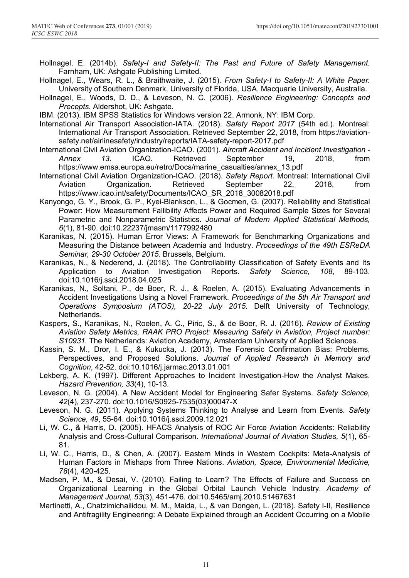- Hollnagel, E. (2014b). *Safety-I and Safety-II: The Past and Future of Safety Management.* Farnham, UK: Ashgate Publishing Limited.
- Hollnagel, E., Wears, R. L., & Braithwaite, J. (2015). *From Safety-I to Safety-II: A White Paper.* University of Southern Denmark, University of Florida, USA, Macquarie University, Australia.
- Hollnagel, E., Woods, D. D., & Leveson, N. C. (2006). *Resilience Engineering: Concepts and Precepts.* Aldershot, UK: Ashgate.
- IBM. (2013). IBM SPSS Statistics for Windows version 22. Armonk, NY: IBM Corp.
- International Air Transport Association-IATA. (2018). *Safety Report 2017* (54th ed.). Montreal: International Air Transport Association. Retrieved September 22, 2018, from https://aviationsafety.net/airlinesafety/industry/reports/IATA-safety-report-2017.pdf
- International Civil Aviation Organization-ICAO. (2001). *Aircraft Accident and Incident Investigation Annex 13.* ICAO. Retrieved September 19, 2018, from https://www.emsa.europa.eu/retro/Docs/marine\_casualties/annex\_13.pdf
- International Civil Aviation Organization-ICAO. (2018). *Safety Report.* Montreal: International Civil Aviation Organization. Retrieved September 22, 2018, from https://www.icao.int/safety/Documents/ICAO\_SR\_2018\_30082018.pdf
- Kanyongo, G. Y., Brook, G. P., Kyei-Blankson, L., & Gocmen, G. (2007). Reliability and Statistical Power: How Measurement Fallibility Affects Power and Required Sample Sizes for Several Parametric and Nonparametric Statistics. *Journal of Modern Applied Statistical Methods, 6*(1), 81-90. doi:10.22237/jmasm/1177992480
- Karanikas, N. (2015). Human Error Views: A Framework for Benchmarking Organizations and Measuring the Distance between Academia and Industry. *Proceedings of the 49th ESReDA Seminar, 29-30 October 2015.* Brussels, Belgium.
- Karanikas, N., & Nederend, J. (2018). The Controllability Classification of Safety Events and Its Application to Aviation Investigation Reports. *Safety Science, 108*, 89-103. doi:10.1016/j.ssci.2018.04.025
- Karanikas, N., Soltani, P., de Boer, R. J., & Roelen, A. (2015). Evaluating Advancements in Accident Investigations Using a Novel Framework. *Proceedings of the 5th Air Transport and Operations Symposium (ATOS), 20-22 July 2015.* Delft University of Technology, Netherlands.
- Kaspers, S., Karanikas, N., Roelen, A. C., Piric, S., & de Boer, R. J. (2016). *Review of Existing Aviation Safety Metrics, RAAK PRO Project: Measuring Safety in Aviation, Project number: S10931.* The Netherlands: Aviation Academy, Amsterdam University of Applied Sciences.
- Kassin, S. M., Dror, I. E., & Kukucka, J. (2013). The Forensic Confirmation Bias: Problems, Perspectives, and Proposed Solutions. *Journal of Applied Research in Memory and Cognition*, 42-52. doi:10.1016/j.jarmac.2013.01.001
- Lekberg, A. K. (1997). Different Approaches to Incident Investigation-How the Analyst Makes. *Hazard Prevention, 33*(4), 10-13.
- Leveson, N. G. (2004). A New Accident Model for Engineering Safer Systems. *Safety Science, 42*(4), 237-270. doi:10.1016/S0925-7535(03)00047-X
- Leveson, N. G. (2011). Applying Systems Thinking to Analyse and Learn from Events. *Safety Science, 49*, 55-64. doi:10.1016/j.ssci.2009.12.021
- Li, W. C., & Harris, D. (2005). HFACS Analysis of ROC Air Force Aviation Accidents: Reliability Analysis and Cross-Cultural Comparison. *International Journal of Aviation Studies, 5*(1), 65- 81.
- Li, W. C., Harris, D., & Chen, A. (2007). Eastern Minds in Western Cockpits: Meta-Analysis of Human Factors in Mishaps from Three Nations. *Aviation, Space, Environmental Medicine, 78*(4), 420-425.
- Madsen, P. M., & Desai, V. (2010). Failing to Learn? The Effects of Failure and Success on Organizational Learning in the Global Orbital Launch Vehicle Industry. *Academy of Management Journal, 53*(3), 451-476. doi:10.5465/amj.2010.51467631
- Martinetti, A., Chatzimichailidou, M. M., Maida, L., & van Dongen, L. (2018). Safety I-II, Resilience and Antifragility Engineering: A Debate Explained through an Accident Occurring on a Mobile